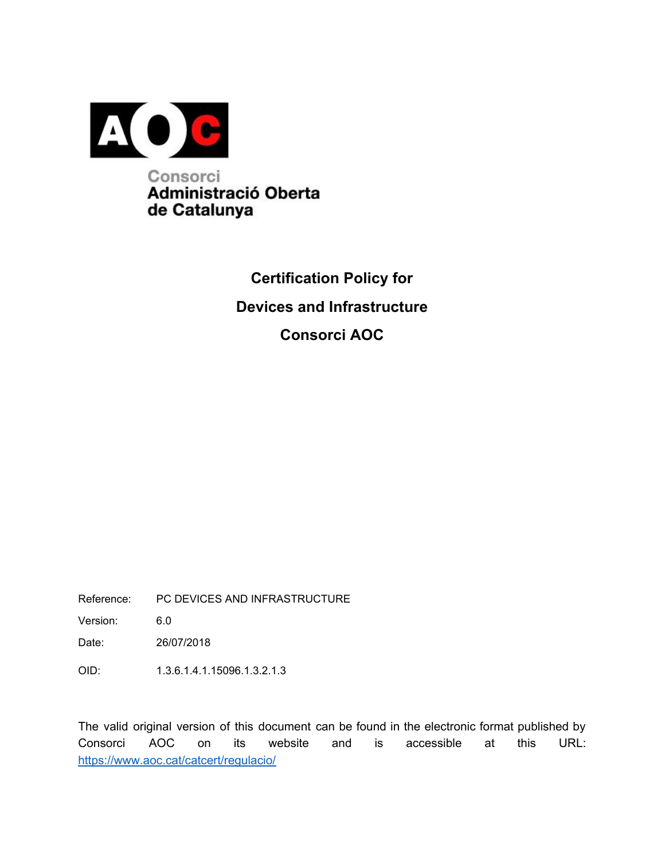

## **Certification Policy for Devices and Infrastructure Consorci AOC**

Reference: PC DEVICES AND INFRASTRUCTURE

Version: 6.0

Date: 26/07/2018

OID: 1.3.6.1.4.1.15096.1.3.2.1.3

The valid original version of this document can be found in the electronic format published by Consorci AOC on its website and is accessible at this URL: <https://www.aoc.cat/catcert/regulacio>/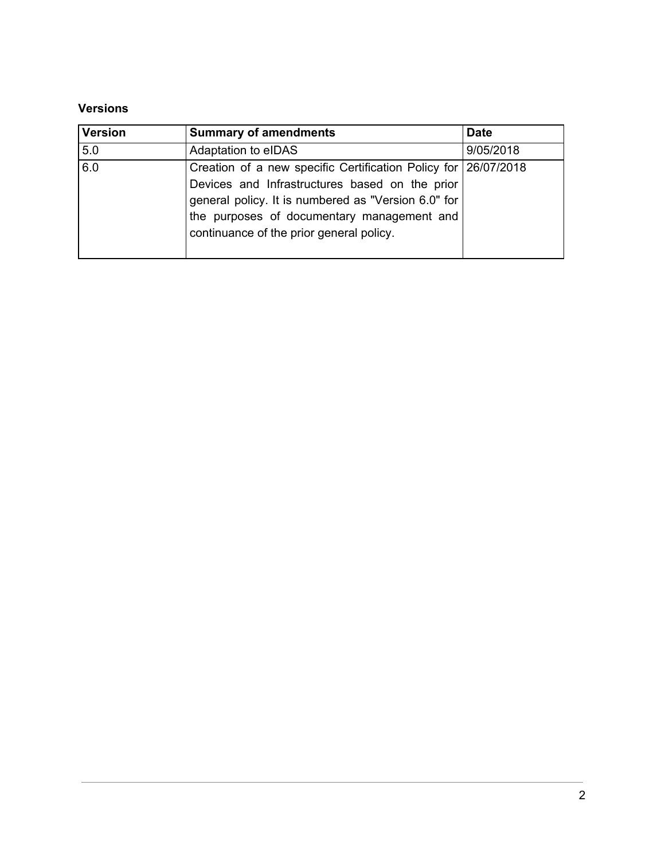#### **Versions**

| <b>Version</b> | <b>Summary of amendments</b>                                                                                                                                                                                                                                      | <b>Date</b> |
|----------------|-------------------------------------------------------------------------------------------------------------------------------------------------------------------------------------------------------------------------------------------------------------------|-------------|
| 5.0            | Adaptation to eIDAS                                                                                                                                                                                                                                               | 9/05/2018   |
| 6.0            | Creation of a new specific Certification Policy for 26/07/2018<br>Devices and Infrastructures based on the prior<br>general policy. It is numbered as "Version 6.0" for<br>the purposes of documentary management and<br>continuance of the prior general policy. |             |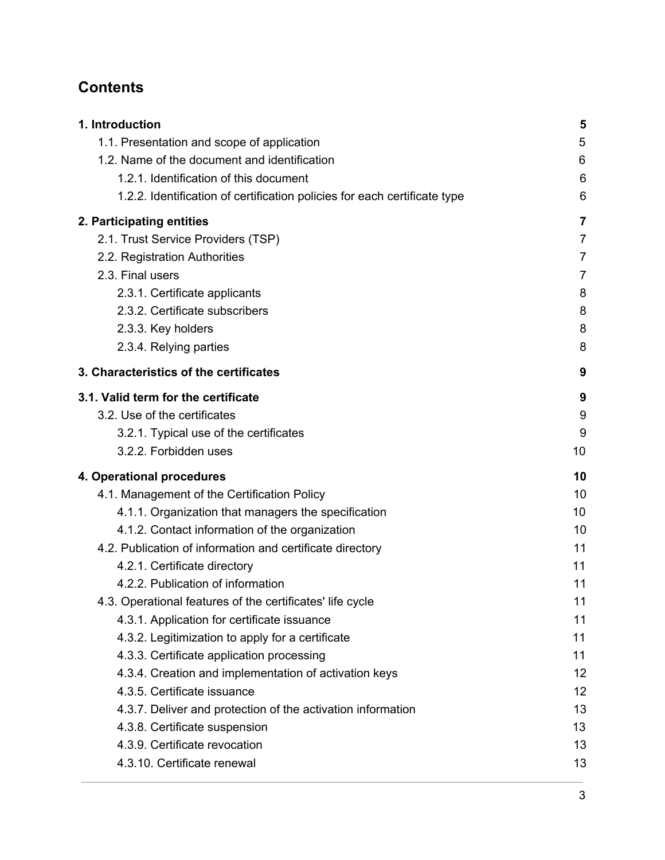## **Contents**

| 1. Introduction                                                           | 5              |
|---------------------------------------------------------------------------|----------------|
| 1.1. Presentation and scope of application                                | 5              |
| 1.2. Name of the document and identification                              | 6              |
| 1.2.1. Identification of this document                                    | 6              |
| 1.2.2. Identification of certification policies for each certificate type | 6              |
| 2. Participating entities                                                 | 7              |
| 2.1. Trust Service Providers (TSP)                                        | $\overline{7}$ |
| 2.2. Registration Authorities                                             | $\overline{7}$ |
| 2.3. Final users                                                          | $\overline{7}$ |
| 2.3.1. Certificate applicants                                             | 8              |
| 2.3.2. Certificate subscribers                                            | 8              |
| 2.3.3. Key holders                                                        | 8              |
| 2.3.4. Relying parties                                                    | 8              |
| 3. Characteristics of the certificates                                    | 9              |
| 3.1. Valid term for the certificate                                       | 9              |
| 3.2. Use of the certificates                                              | 9              |
| 3.2.1. Typical use of the certificates                                    | 9              |
| 3.2.2. Forbidden uses                                                     | 10             |
| 4. Operational procedures                                                 | 10             |
| 4.1. Management of the Certification Policy                               | 10             |
| 4.1.1. Organization that managers the specification                       | 10             |
| 4.1.2. Contact information of the organization                            | 10             |
| 4.2. Publication of information and certificate directory                 | 11             |
| 4.2.1. Certificate directory                                              | 11             |
| 4.2.2. Publication of information                                         | 11             |
| 4.3. Operational features of the certificates' life cycle                 | 11             |
| 4.3.1. Application for certificate issuance                               | 11             |
| 4.3.2. Legitimization to apply for a certificate                          | 11             |
| 4.3.3. Certificate application processing                                 | 11             |
| 4.3.4. Creation and implementation of activation keys                     | 12             |
| 4.3.5. Certificate issuance                                               | 12             |
| 4.3.7. Deliver and protection of the activation information               | 13             |
| 4.3.8. Certificate suspension                                             | 13             |
| 4.3.9. Certificate revocation                                             | 13             |
| 4.3.10. Certificate renewal                                               | 13             |
|                                                                           |                |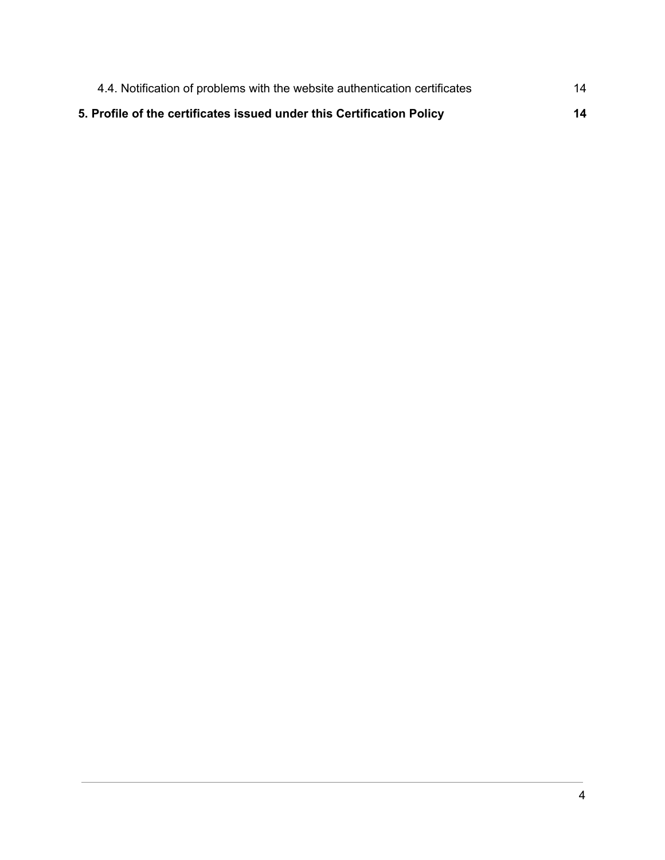| 4.4. Notification of problems with the website authentication certificates | 14 |
|----------------------------------------------------------------------------|----|
| 5. Profile of the certificates issued under this Certification Policy      | 14 |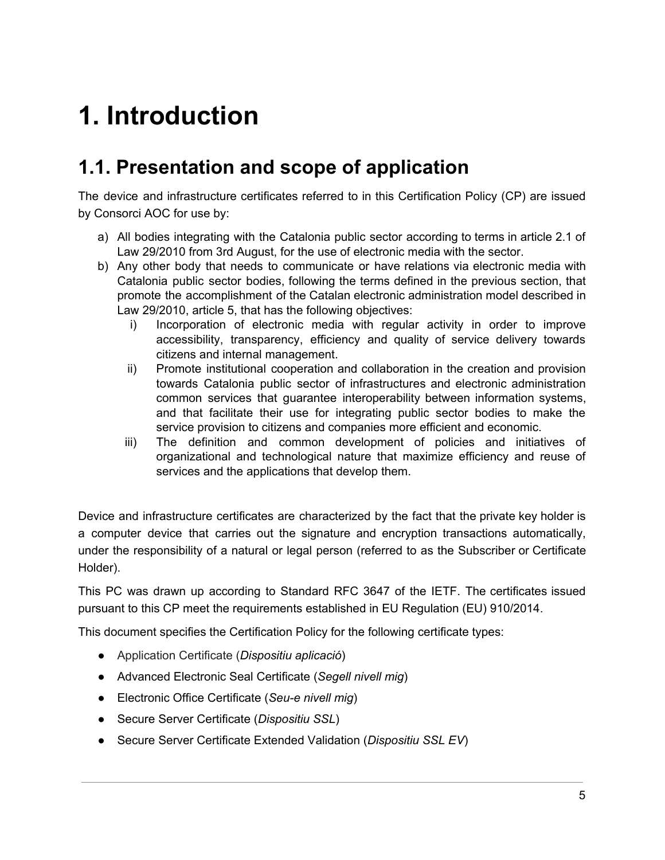# <span id="page-4-0"></span>**1. Introduction**

## <span id="page-4-1"></span>**1.1. Presentation and scope of application**

The device and infrastructure certificates referred to in this Certification Policy (CP) are issued by Consorci AOC for use by:

- a) All bodies integrating with the Catalonia public sector according to terms in article 2.1 of Law 29/2010 from 3rd August, for the use of electronic media with the sector.
- b) Any other body that needs to communicate or have relations via electronic media with Catalonia public sector bodies, following the terms defined in the previous section, that promote the accomplishment of the Catalan electronic administration model described in Law 29/2010, article 5, that has the following objectives:
	- i) Incorporation of electronic media with regular activity in order to improve accessibility, transparency, efficiency and quality of service delivery towards citizens and internal management.
	- ii) Promote institutional cooperation and collaboration in the creation and provision towards Catalonia public sector of infrastructures and electronic administration common services that guarantee interoperability between information systems, and that facilitate their use for integrating public sector bodies to make the service provision to citizens and companies more efficient and economic.
	- iii) The definition and common development of policies and initiatives of organizational and technological nature that maximize efficiency and reuse of services and the applications that develop them.

Device and infrastructure certificates are characterized by the fact that the private key holder is a computer device that carries out the signature and encryption transactions automatically, under the responsibility of a natural or legal person (referred to as the Subscriber or Certificate Holder).

This PC was drawn up according to Standard RFC 3647 of the IETF. The certificates issued pursuant to this CP meet the requirements established in EU Regulation (EU) 910/2014.

This document specifies the Certification Policy for the following certificate types:

- Application Certificate (*Dispositiu aplicació*)
- Advanced Electronic Seal Certificate (*Segell nivell mig*)
- Electronic Office Certificate (*Seu-e nivell mig*)
- Secure Server Certificate (*Dispositiu SSL*)
- Secure Server Certificate Extended Validation (*Dispositiu SSL EV*)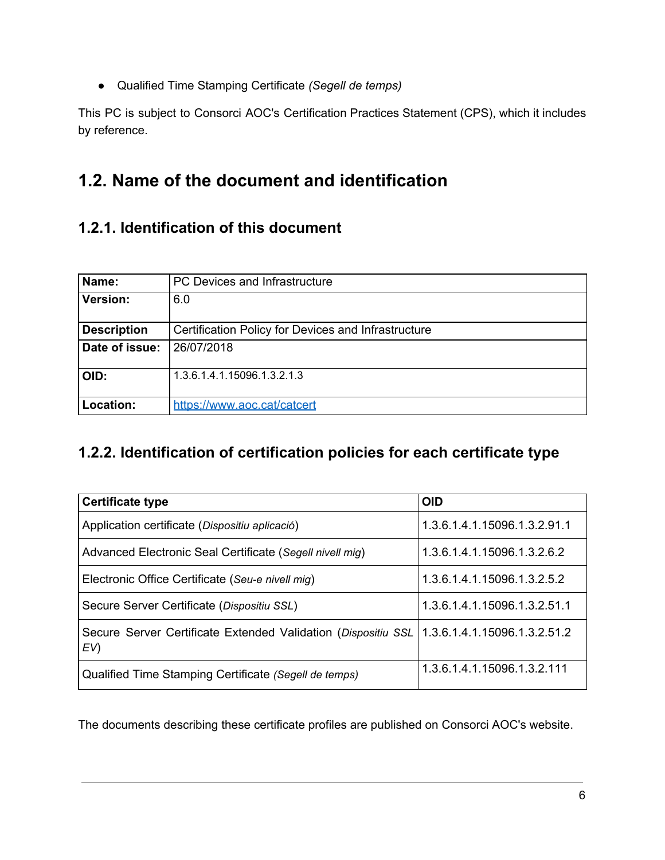● Qualified Time Stamping Certificate *(Segell de temps)*

This PC is subject to Consorci AOC's Certification Practices Statement (CPS), which it includes by reference.

## <span id="page-5-0"></span>**1.2. Name of the document and identification**

#### <span id="page-5-1"></span>**1.2.1. Identification of this document**

| Name:              | PC Devices and Infrastructure                       |  |
|--------------------|-----------------------------------------------------|--|
| <b>Version:</b>    | 6.0                                                 |  |
| <b>Description</b> | Certification Policy for Devices and Infrastructure |  |
| Date of issue:     | 26/07/2018                                          |  |
| OID:               | 1.3.6.1.4.1.15096.1.3.2.1.3                         |  |
| Location:          | https://www.aoc.cat/catcert                         |  |

#### <span id="page-5-2"></span>**1.2.2. Identification of certification policies for each certificate type**

| <b>Certificate type</b>                                               | <b>OID</b>                   |
|-----------------------------------------------------------------------|------------------------------|
| Application certificate (Dispositiu aplicació)                        | 1.3.6.1.4.1.15096.1.3.2.91.1 |
| Advanced Electronic Seal Certificate (Segell nivell mig)              | 1.3.6.1.4.1.15096.1.3.2.6.2  |
| Electronic Office Certificate (Seu-e nivell mig)                      | 1.3.6.1.4.1.15096.1.3.2.5.2  |
| Secure Server Certificate (Dispositiu SSL)                            | 1.3.6.1.4.1.15096.1.3.2.51.1 |
| Secure Server Certificate Extended Validation (Dispositiu SSL)<br>EV) | 1.3.6.1.4.1.15096.1.3.2.51.2 |
| Qualified Time Stamping Certificate (Segell de temps)                 | 1.3.6.1.4.1.15096.1.3.2.111  |

The documents describing these certificate profiles are published on Consorci AOC's website.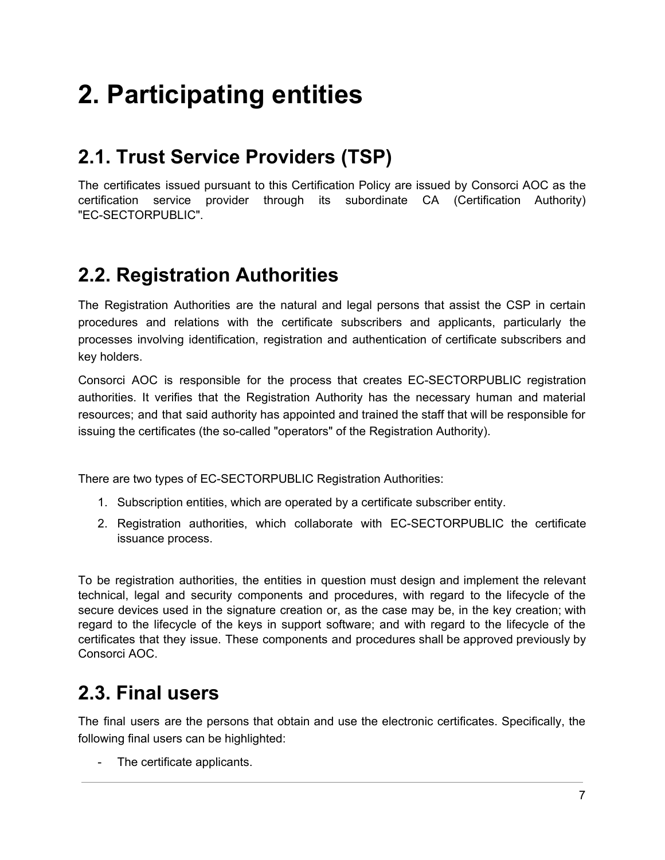# <span id="page-6-0"></span>**2. Participating entities**

## <span id="page-6-1"></span>**2.1. Trust Service Providers (TSP)**

The certificates issued pursuant to this Certification Policy are issued by Consorci AOC as the certification service provider through its subordinate CA (Certification Authority) "EC-SECTORPUBLIC".

## <span id="page-6-2"></span>**2.2. Registration Authorities**

The Registration Authorities are the natural and legal persons that assist the CSP in certain procedures and relations with the certificate subscribers and applicants, particularly the processes involving identification, registration and authentication of certificate subscribers and key holders.

Consorci AOC is responsible for the process that creates EC-SECTORPUBLIC registration authorities. It verifies that the Registration Authority has the necessary human and material resources; and that said authority has appointed and trained the staff that will be responsible for issuing the certificates (the so-called "operators" of the Registration Authority).

There are two types of EC-SECTORPUBLIC Registration Authorities:

- 1. Subscription entities, which are operated by a certificate subscriber entity.
- 2. Registration authorities, which collaborate with EC-SECTORPUBLIC the certificate issuance process.

To be registration authorities, the entities in question must design and implement the relevant technical, legal and security components and procedures, with regard to the lifecycle of the secure devices used in the signature creation or, as the case may be, in the key creation; with regard to the lifecycle of the keys in support software; and with regard to the lifecycle of the certificates that they issue. These components and procedures shall be approved previously by Consorci AOC.

## <span id="page-6-3"></span>**2.3. Final users**

The final users are the persons that obtain and use the electronic certificates. Specifically, the following final users can be highlighted:

The certificate applicants.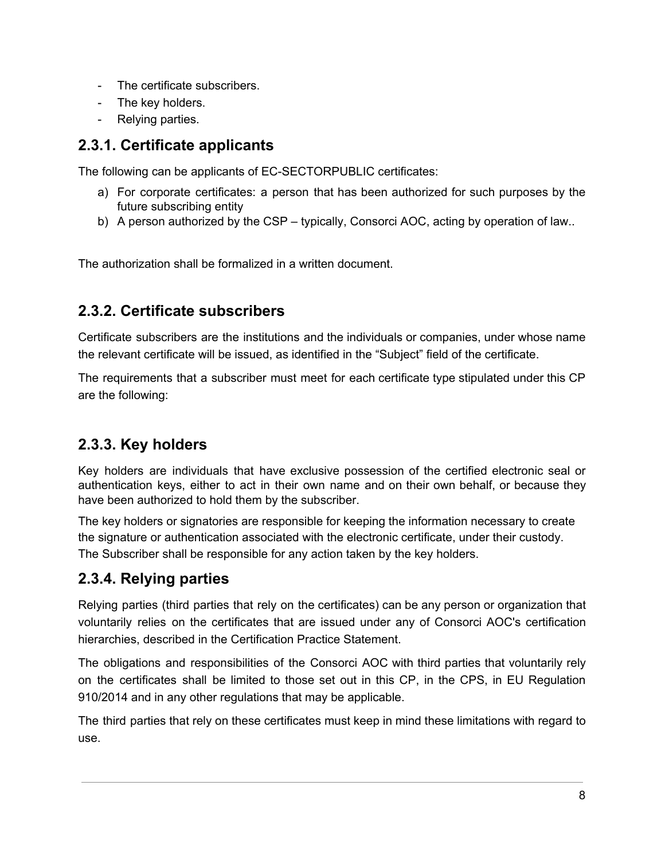- The certificate subscribers.
- The key holders.
- Relying parties.

#### <span id="page-7-0"></span>**2.3.1. Certificate applicants**

The following can be applicants of EC-SECTORPUBLIC certificates:

- a) For corporate certificates: a person that has been authorized for such purposes by the future subscribing entity
- b) A person authorized by the CSP typically, Consorci AOC, acting by operation of law..

The authorization shall be formalized in a written document.

#### <span id="page-7-1"></span>**2.3.2. Certificate subscribers**

Certificate subscribers are the institutions and the individuals or companies, under whose name the relevant certificate will be issued, as identified in the "Subject" field of the certificate.

The requirements that a subscriber must meet for each certificate type stipulated under this CP are the following:

#### <span id="page-7-2"></span>**2.3.3. Key holders**

Key holders are individuals that have exclusive possession of the certified electronic seal or authentication keys, either to act in their own name and on their own behalf, or because they have been authorized to hold them by the subscriber.

The key holders or signatories are responsible for keeping the information necessary to create the signature or authentication associated with the electronic certificate, under their custody. The Subscriber shall be responsible for any action taken by the key holders.

#### <span id="page-7-3"></span>**2.3.4. Relying parties**

Relying parties (third parties that rely on the certificates) can be any person or organization that voluntarily relies on the certificates that are issued under any of Consorci AOC's certification hierarchies, described in the Certification Practice Statement.

The obligations and responsibilities of the Consorci AOC with third parties that voluntarily rely on the certificates shall be limited to those set out in this CP, in the CPS, in EU Regulation 910/2014 and in any other regulations that may be applicable.

The third parties that rely on these certificates must keep in mind these limitations with regard to use.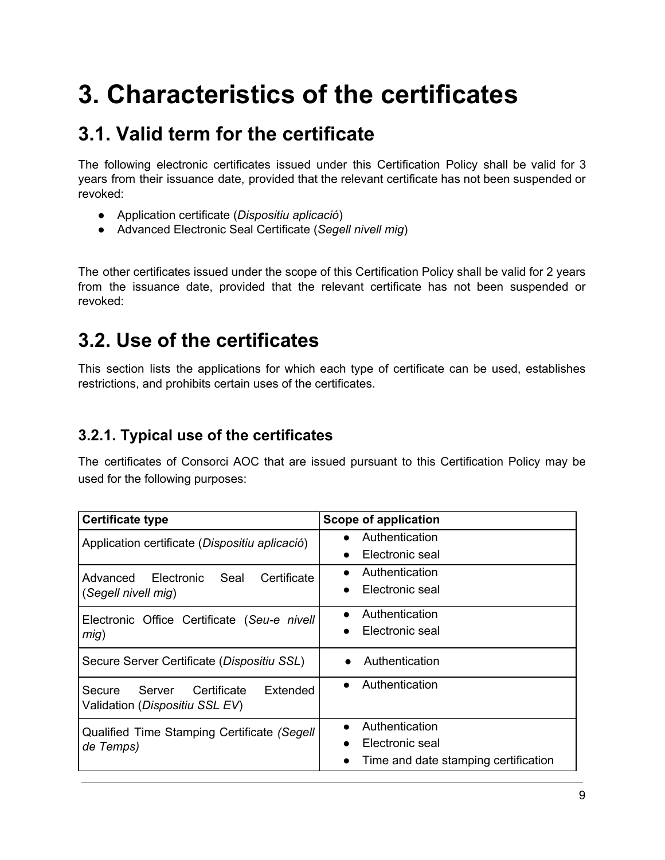# <span id="page-8-0"></span>**3. Characteristics of the certificates**

## <span id="page-8-1"></span>**3.1. Valid term for the certificate**

The following electronic certificates issued under this Certification Policy shall be valid for 3 years from their issuance date, provided that the relevant certificate has not been suspended or revoked:

- Application certificate (*Dispositiu aplicació*)
- Advanced Electronic Seal Certificate (*Segell nivell mig*)

The other certificates issued under the scope of this Certification Policy shall be valid for 2 years from the issuance date, provided that the relevant certificate has not been suspended or revoked:

## <span id="page-8-2"></span>**3.2. Use of the certificates**

This section lists the applications for which each type of certificate can be used, establishes restrictions, and prohibits certain uses of the certificates.

#### <span id="page-8-3"></span>**3.2.1. Typical use of the certificates**

The certificates of Consorci AOC that are issued pursuant to this Certification Policy may be used for the following purposes:

| <b>Certificate type</b>                                                       | Scope of application                 |
|-------------------------------------------------------------------------------|--------------------------------------|
| Application certificate (Dispositiu aplicació)                                | Authentication                       |
|                                                                               | Electronic seal                      |
| Electronic<br>Advanced<br>Seal<br>Certificate                                 | Authentication                       |
| (Segell nivell mig)                                                           | Electronic seal<br>$\bullet$         |
| Electronic Office Certificate (Seu-e nivell                                   | Authentication<br>$\bullet$          |
| mig)                                                                          | Electronic seal                      |
| Secure Server Certificate (Dispositiu SSL)                                    | Authentication                       |
| Extended<br>Server<br>Certificate<br>Secure<br>Validation (Dispositiu SSL EV) | Authentication                       |
| Qualified Time Stamping Certificate (Segell                                   | Authentication<br>$\bullet$          |
| de Temps)                                                                     | Electronic seal                      |
|                                                                               | Time and date stamping certification |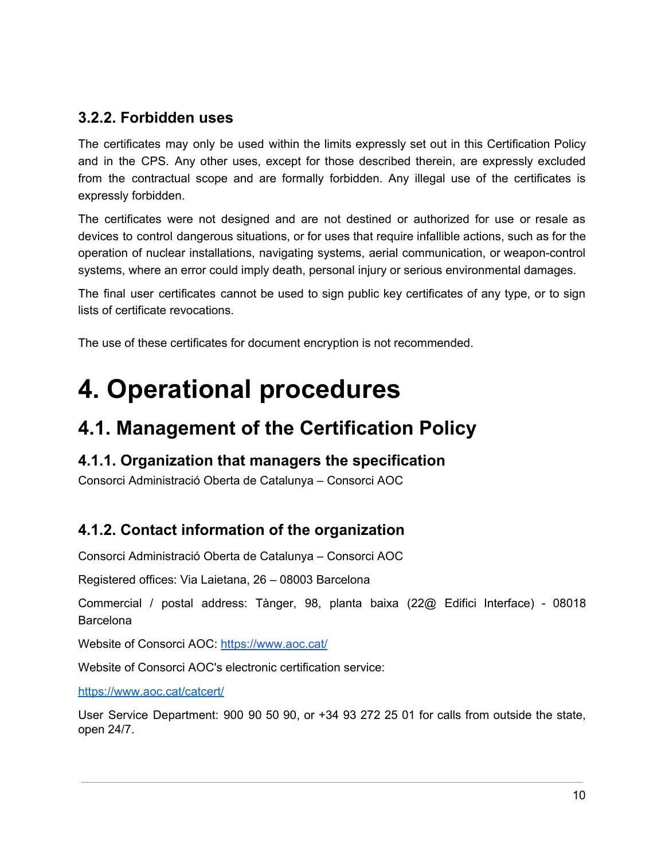#### <span id="page-9-0"></span>**3.2.2. Forbidden uses**

The certificates may only be used within the limits expressly set out in this Certification Policy and in the CPS. Any other uses, except for those described therein, are expressly excluded from the contractual scope and are formally forbidden. Any illegal use of the certificates is expressly forbidden.

The certificates were not designed and are not destined or authorized for use or resale as devices to control dangerous situations, or for uses that require infallible actions, such as for the operation of nuclear installations, navigating systems, aerial communication, or weapon-control systems, where an error could imply death, personal injury or serious environmental damages.

The final user certificates cannot be used to sign public key certificates of any type, or to sign lists of certificate revocations.

<span id="page-9-1"></span>The use of these certificates for document encryption is not recommended.

## **4. Operational procedures**

## <span id="page-9-2"></span>**4.1. Management of the Certification Policy**

#### <span id="page-9-3"></span>**4.1.1. Organization that managers the specification**

Consorci Administració Oberta de Catalunya – Consorci AOC

#### <span id="page-9-4"></span>**4.1.2. Contact information of the organization**

Consorci Administració Oberta de Catalunya – Consorci AOC

Registered offices: Via Laietana, 26 – 08003 Barcelona

Commercial / postal address: Tànger, 98, planta baixa (22@ Edifici Interface) - 08018 Barcelona

Website of Consorci AOC[:](https://www.aoc.cat/) [https://www.aoc.cat](https://www.aoc.cat/)/

Website of Consorci AOC's electronic certification service:

https://[www.aoc.cat/catcert/](http://www.aoc.cat/catcert)

User Service Department: 900 90 50 90, or +34 93 272 25 01 for calls from outside the state, open 24/7.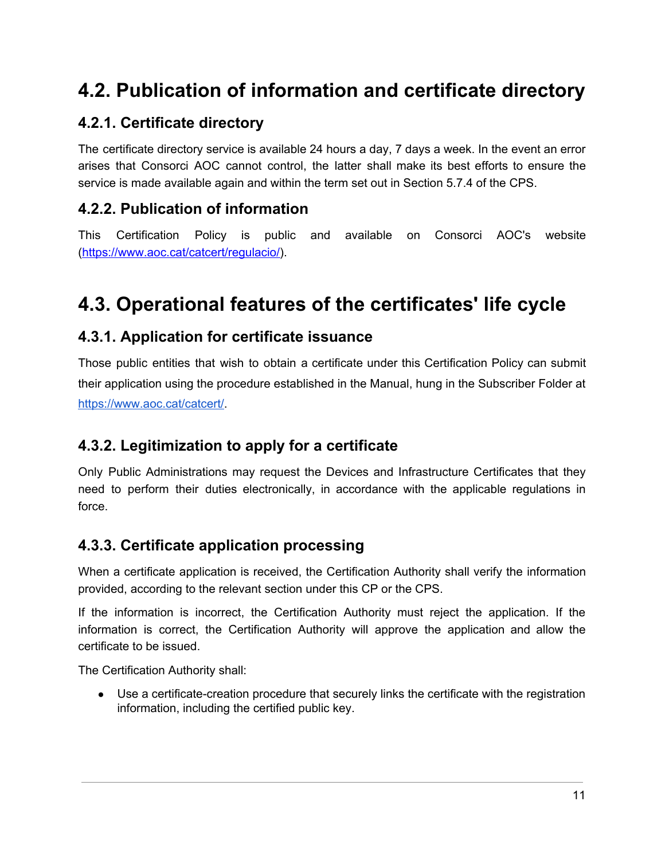## <span id="page-10-0"></span>**4.2. Publication of information and certificate directory**

#### <span id="page-10-1"></span>**4.2.1. Certificate directory**

The certificate directory service is available 24 hours a day, 7 days a week. In the event an error arises that Consorci AOC cannot control, the latter shall make its best efforts to ensure the service is made available again and within the term set out in Section 5.7.4 of the CPS.

#### <span id="page-10-2"></span>**4.2.2. Publication of information**

This Certification Policy is public and available on Consorci AOC's website ([https://www.aoc.cat/catcert/regulacio/\)](https://www.aoc.cat/catcert/regulacio/).

## <span id="page-10-3"></span>**4.3. Operational features of the certificates' life cycle**

#### <span id="page-10-4"></span>**4.3.1. Application for certificate issuance**

Those public entities that wish to obtain a certificate under this Certification Policy can submit their application using the procedure established in the Manual, hung in the Subscriber Folder at <https://www.aoc.cat/catcert/>.

#### <span id="page-10-5"></span>**4.3.2. Legitimization to apply for a certificate**

Only Public Administrations may request the Devices and Infrastructure Certificates that they need to perform their duties electronically, in accordance with the applicable regulations in force.

#### <span id="page-10-6"></span>**4.3.3. Certificate application processing**

When a certificate application is received, the Certification Authority shall verify the information provided, according to the relevant section under this CP or the CPS.

If the information is incorrect, the Certification Authority must reject the application. If the information is correct, the Certification Authority will approve the application and allow the certificate to be issued.

The Certification Authority shall:

• Use a certificate-creation procedure that securely links the certificate with the registration information, including the certified public key.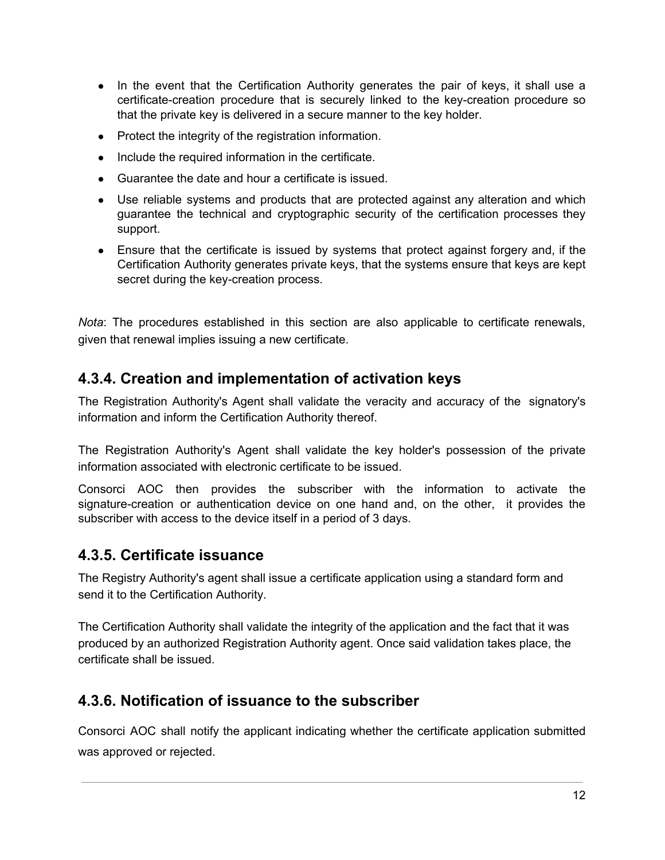- In the event that the Certification Authority generates the pair of keys, it shall use a certificate-creation procedure that is securely linked to the key-creation procedure so that the private key is delivered in a secure manner to the key holder.
- Protect the integrity of the registration information.
- Include the required information in the certificate.
- Guarantee the date and hour a certificate is issued.
- Use reliable systems and products that are protected against any alteration and which guarantee the technical and cryptographic security of the certification processes they support.
- Ensure that the certificate is issued by systems that protect against forgery and, if the Certification Authority generates private keys, that the systems ensure that keys are kept secret during the key-creation process.

*Nota*: The procedures established in this section are also applicable to certificate renewals, given that renewal implies issuing a new certificate.

#### <span id="page-11-0"></span>**4.3.4. Creation and implementation of activation keys**

The Registration Authority's Agent shall validate the veracity and accuracy of the signatory's information and inform the Certification Authority thereof.

The Registration Authority's Agent shall validate the key holder's possession of the private information associated with electronic certificate to be issued.

Consorci AOC then provides the subscriber with the information to activate the signature-creation or authentication device on one hand and, on the other, it provides the subscriber with access to the device itself in a period of 3 days.

#### <span id="page-11-1"></span>**4.3.5. Certificate issuance**

The Registry Authority's agent shall issue a certificate application using a standard form and send it to the Certification Authority.

The Certification Authority shall validate the integrity of the application and the fact that it was produced by an authorized Registration Authority agent. Once said validation takes place, the certificate shall be issued.

#### **4.3.6. Notification of issuance to the subscriber**

Consorci AOC shall notify the applicant indicating whether the certificate application submitted was approved or rejected.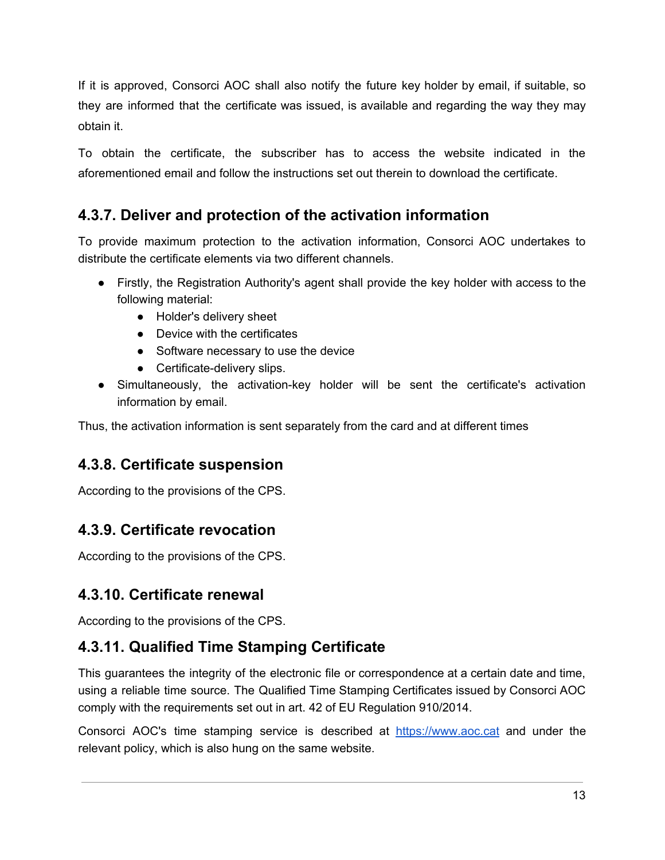If it is approved, Consorci AOC shall also notify the future key holder by email, if suitable, so they are informed that the certificate was issued, is available and regarding the way they may obtain it.

To obtain the certificate, the subscriber has to access the website indicated in the aforementioned email and follow the instructions set out therein to download the certificate.

#### <span id="page-12-0"></span>**4.3.7. Deliver and protection of the activation information**

To provide maximum protection to the activation information, Consorci AOC undertakes to distribute the certificate elements via two different channels.

- Firstly, the Registration Authority's agent shall provide the key holder with access to the following material:
	- Holder's delivery sheet
	- Device with the certificates
	- Software necessary to use the device
	- Certificate-delivery slips.
- Simultaneously, the activation-key holder will be sent the certificate's activation information by email.

Thus, the activation information is sent separately from the card and at different times

#### <span id="page-12-1"></span>**4.3.8. Certificate suspension**

According to the provisions of the CPS.

#### <span id="page-12-2"></span>**4.3.9. Certificate revocation**

According to the provisions of the CPS.

#### <span id="page-12-3"></span>**4.3.10. Certificate renewal**

According to the provisions of the CPS.

#### **4.3.11. Qualified Time Stamping Certificate**

This guarantees the integrity of the electronic file or correspondence at a certain date and time, using a reliable time source. The Qualified Time Stamping Certificates issued by Consorci AOC comply with the requirements set out in art. 42 of EU Regulation 910/2014.

Consorci AOC's time stamping service is described at [https://www.aoc.cat](http://www.aoc.cat/) and under the relevant policy, which is also hung on the same website.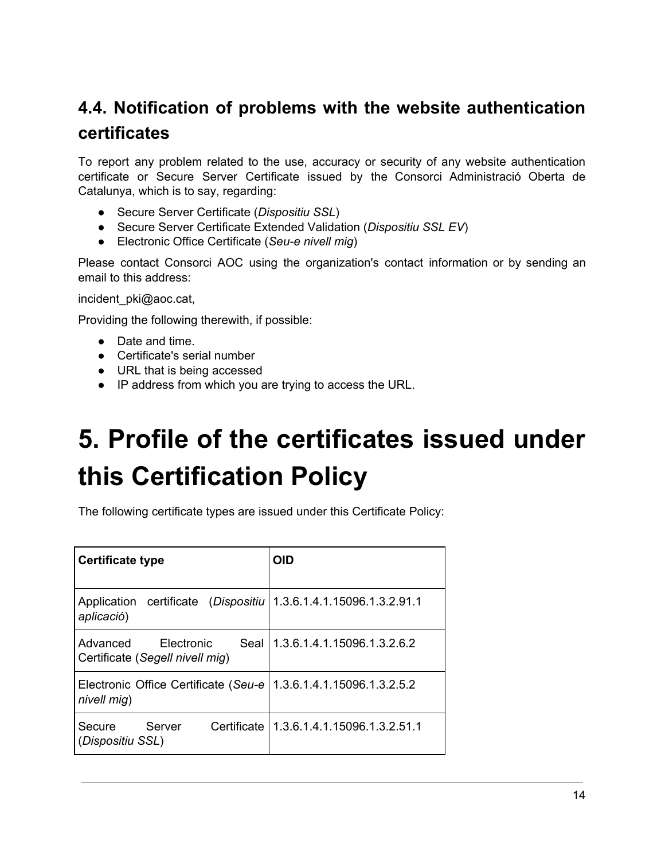## <span id="page-13-0"></span>**4.4. Notification of problems with the website authentication certificates**

To report any problem related to the use, accuracy or security of any website authentication certificate or Secure Server Certificate issued by the Consorci Administració Oberta de Catalunya, which is to say, regarding:

- Secure Server Certificate (*Dispositiu SSL*)
- Secure Server Certificate Extended Validation (*Dispositiu SSL EV*)
- Electronic Office Certificate (*Seu-e nivell mig*)

Please contact Consorci AOC using the organization's contact information or by sending an email to this address:

incident\_pki@aoc.cat,

Providing the following therewith, if possible:

- Date and time.
- Certificate's serial number
- URL that is being accessed
- IP address from which you are trying to access the URL.

# <span id="page-13-1"></span>**5. Profile of the certificates issued under this Certification Policy**

The following certificate types are issued under this Certificate Policy:

| <b>Certificate type</b>                                           | <b>OID</b>                                 |
|-------------------------------------------------------------------|--------------------------------------------|
| Application certificate (Dispositiu<br>aplicació)                 | 1.3.6.1.4.1.15096.1.3.2.91.1               |
| Advanced<br>Seal<br>Electronic<br>Certificate (Segell nivell mig) | 1.3.6.1.4.1.15096.1.3.2.6.2                |
| Electronic Office Certificate (Seu-e)<br>nivell mig)              | 1.3.6.1.4.1.15096.1.3.2.5.2                |
| Server<br>Secure<br>(Dispositiu SSL)                              | Certificate   1.3.6.1.4.1.15096.1.3.2.51.1 |